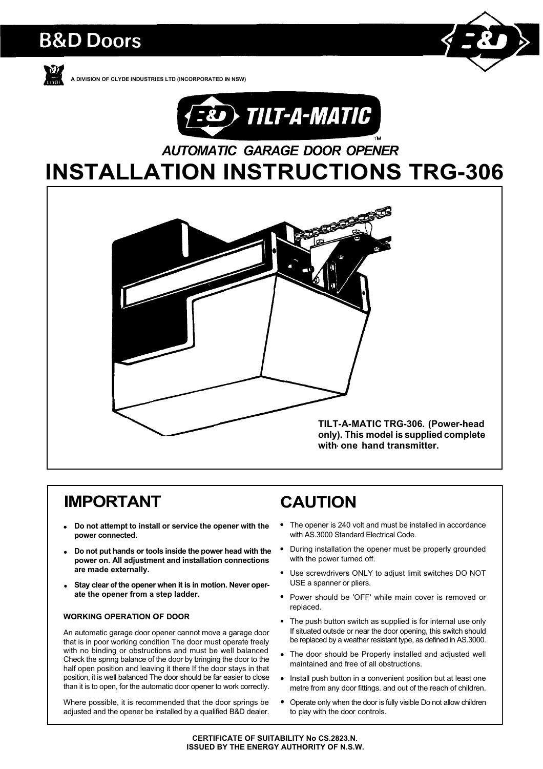# **B&D Doors**



**A DlVlSlON OF CLYDE INDUSTRIES LTD (INCORPORATED IN NSW)**



# *AUTOMATIC GARAGE DOOR OPENER*

# **INSTALLATION INSTRUCTIONS TRG-306**



# **IMPORTANT**

- **Do not attempt to install or service the opener with the power connected.**
- **Do not put hands or tools inside the power head with the power on. All adjustment and installation connections are made externally.**
- **Stay clear of the opener when it is in motion. Never operate the opener from a step ladder.**

#### **WORKING OPERATION OF DOOR**

An automatic garage door opener cannot move a garage door that is in poor working condition The door must operate freely with no binding or obstructions and must be well balanced Check the spnng balance of the door by bringing the door to the half open position and leaving it there If the door stays in that position, it is well balanced The door should be far easier to close than it is to open, for the automatic door opener to work correctly.

Where possible, it is recommended that the door springs be adjusted and the opener be installed by a qualified B&D dealer.

# **CAUTION**

- The opener is 240 volt and must be installed in accordance with AS.3000 Standard Electrical Code.
- During installation the opener must be properly grounded with the power turned off.
- $\bullet$ Use screwdrivers ONLY to adjust limit switches DO NOT USE a spanner or pliers.
- Power should be 'OFF' while main cover is removed or replaced.
- The push button switch as supplied is for internal use only If situated outsde or near the door opening, this switch should be replaced by a weather resistant type, as defined in AS.3000.
- The door should be Properly installed and adjusted well maintained and free of all obstructions.
- Install push button in a convenient position but at least one metre from any door fittings. and out of the reach of children.
- Operate only when the door is fully visible Do not allow children to play with the door controls.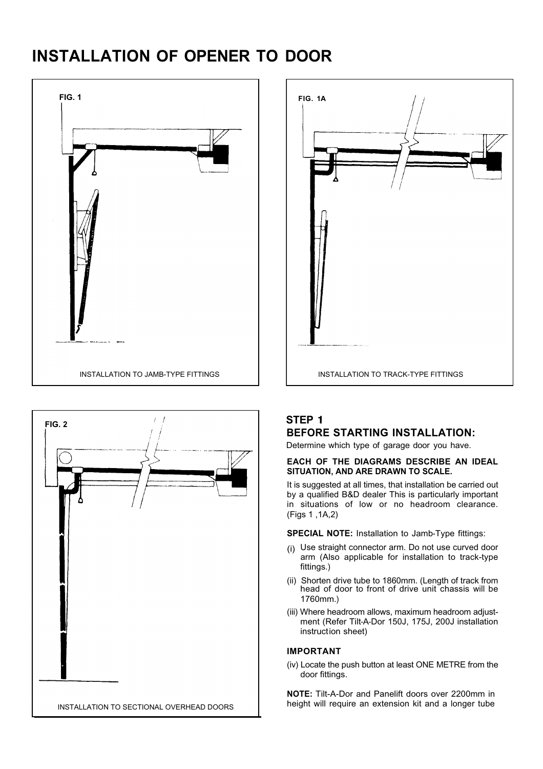# **INSTALLATION OF OPENER TO DOOR**







## **STEP BEFORE STARTING INSTALLATION:**

Determine which type of garage door you have.

#### **EACH OF THE DIAGRAMS DESCRIBE AN IDEAL SITUATION, AND ARE DRAWN TO SCALE.**

It is suggested at all times, that installation be carried out by a qualified B&D dealer This is particularly important in situations of low or no headroom clearance. (Figs 1 ,1A,2)

**SPECIAL NOTE:** Installation to Jamb-Type fittings:

- (i) Use straight connector arm. Do not use curved door arm (Also applicable for installation to track-type fittings.)
- (ii) Shorten drive tube to 1860mm. (Length of track from head of door to front of drive unit chassis will be 1760mm.)
- (iii) Where headroom allows, maximum headroom adjustment (Refer Tilt-A-Dor 150J, 175J, 200J installation instruction sheet)

## **IMPORTANT**

(iv) Locate the push button at least ONE METRE from the door fittings.

**NOTE:** Tilt-A-Dor and Panelift doors over 2200mm in height will require an extension kit and a longer tube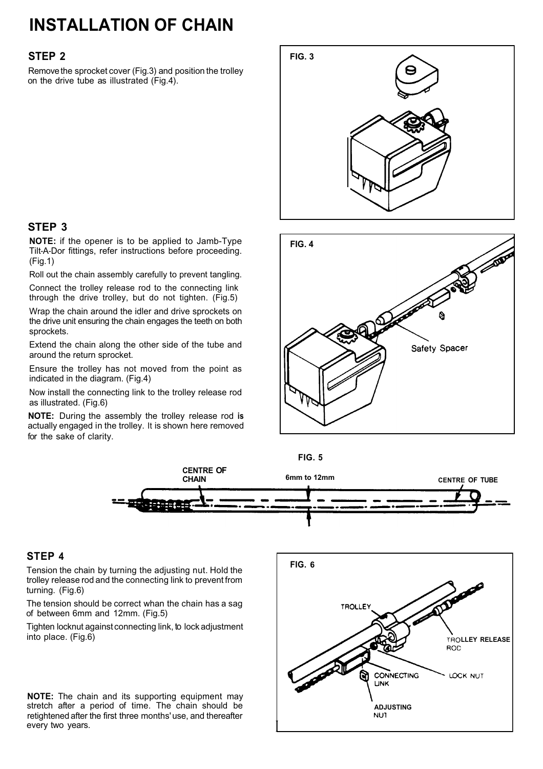# **INSTALLATION OF CHAIN**

## **STEP 2**

**STEP 3**

(Fig.1)

sprockets.

around the return sprocket.

as illustrated. (Fig.6)

for the sake of clarity.

indicated in the diagram. (Fig.4)

Remove the sprocket cover (Fig.3) and position the trolley on the drive tube as illustrated (Fig.4).

**NOTE:** if the opener is to be applied to Jamb-Type Tilt-A-Dor fittings, refer instructions before proceeding.

Roll out the chain assembly carefully to prevent tangling. Connect the trolley release rod to the connecting link through the drive trolley, but do not tighten. (Fig.5) Wrap the chain around the idler and drive sprockets on the drive unit ensuring the chain engages the teeth on both

Extend the chain along the other side of the tube and

Ensure the trolley has not moved from the point as

Now install the connecting link to the trolley release rod

**NOTE:** During the assembly the trolley release rod **is** actually engaged in the trolley. It is shown here removed

# **FIG. 3**







## **STEP 4**

Tension the chain by turning the adjusting nut. Hold the trolley release rod and the connecting link to prevent from turning. (Fig.6)

The tension should be correct whan the chain has a sag of between 6mm and 12mm. (Fig.5)

Tighten locknut against connecting link, to lock adjustment into place. (Fig.6)

**NOTE:** The chain and its supporting equipment may stretch after a period of time. The chain should be retightened after the first three months' use, and thereafter every two years.

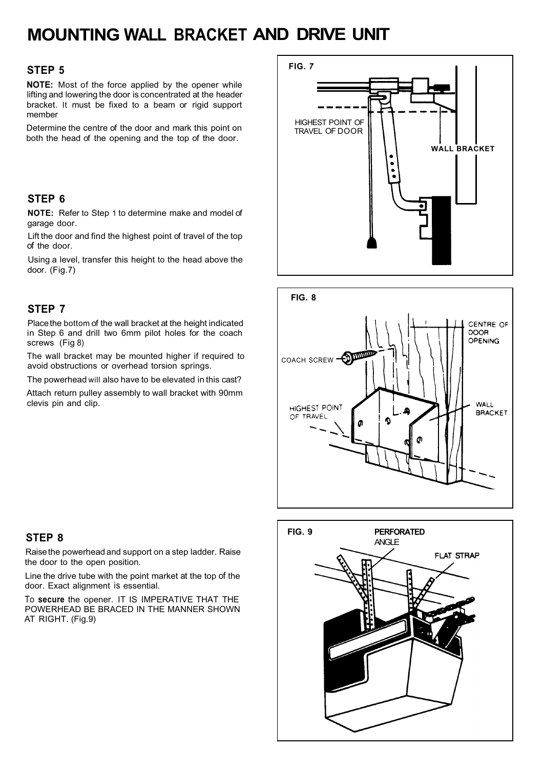# **MOUNTING WALL BRACKET AND DRIVE UNIT**

## **STEP 5**

**NOTE:** Most of the force applied by the opener while lifting and lowering the door is concentrated at the header bracket. It must be fixed to a beam or rigid support member

Determine the centre of the door and mark this point on both the head of the opening and the top of the door.

## **STEP 6**

**NOTE:** Refer to Step 1 to determine make and model of garage door.

Lift the door and find the highest point of travel of the top of the door.

Using a level, transfer this height to the head above the door. (Fig.7)

## **STEP 7**

Place the bottom of the wall bracket at the height indicated in Step 6 and drill two 6mm pilot holes for the coach screws (Fig 8)

The wall bracket may be mounted higher if required to avoid obstructions or overhead torsion springs.

The powerhead will also have to be elevated in this cast?

Attach return pulley assembly to wall bracket with 90mm clevis pin and clip.

## **STEP 8**

Raisethe powerhead and support on a step ladder. Raise the door to the open position.

Line the drive tube with the point market at the top of the door. Exact alignment is essential.

To **secure** the opener. IT IS IMPERATIVE THAT THE POWERHEAD BE BRACED IN THE MANNER SHOWN AT RIGHT. (Fig.9)





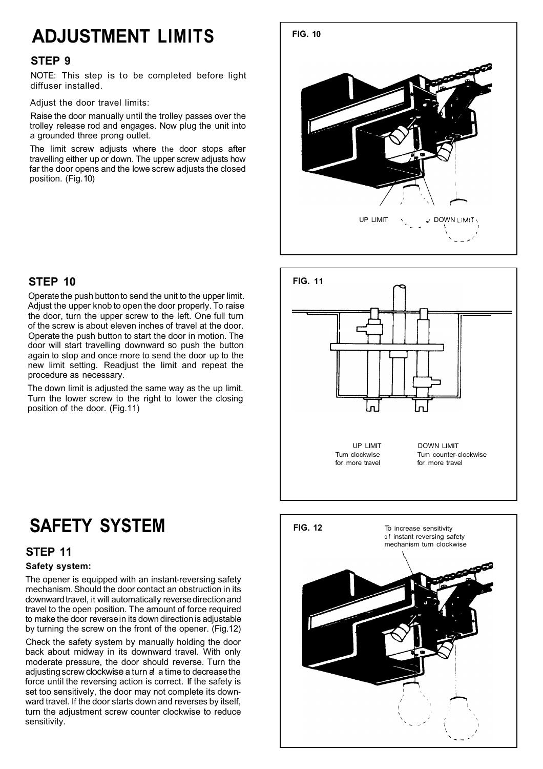# **ADJUSTMENT LIMITS**

## **STEP 9**

NOTE: This step is to be completed before light diffuser installed.

Adjust the door travel limits:

Raise the door manually until the trolley passes over the trolley release rod and engages. Now plug the unit into a grounded three prong outlet.

The limit screw adjusts where the door stops after travelling either up or down. The upper screw adjusts how far the door opens and the lowe screw adjusts the closed position. (Fig. 10)

## **STEP 10**

Operate the push button to send the unit to the upper limit. Adjust the upper knob to open the door properly. To raise the door, turn the upper screw to the left. One full turn of the screw is about eleven inches of travel at the door. Operate the push button to start the door in motion. The door will start travelling downward so push the button again to stop and once more to send the door up to the new limit setting. Readjust the limit and repeat the procedure as necessary.

The down limit is adjusted the same way as the up limit. Turn the lower screw to the right to lower the closing position of the door. (Fig.11)

# **SAFETY SYSTEM**

## **STEP 11**

## **Safety system:**

The opener is equipped with an instant-reversing safety mechanism. Should the door contact an obstruction in its downward travel, it will automatically reverse direction and travel to the open position. The amount of force required to make the door reversein its down direction is adjustable by turning the screw on the front of the opener. (Fig.12)

Check the safety system by manually holding the door back about midway in its downward travel. With only moderate pressure, the door should reverse. Turn the adjusting screw clockwise a turn a a time to decrease the force until the reversing action is correct. If the safety is set too sensitively, the door may not complete its downward travel. If the door starts down and reverses by itself, turn the adjustment screw counter clockwise to reduce sensitivity.





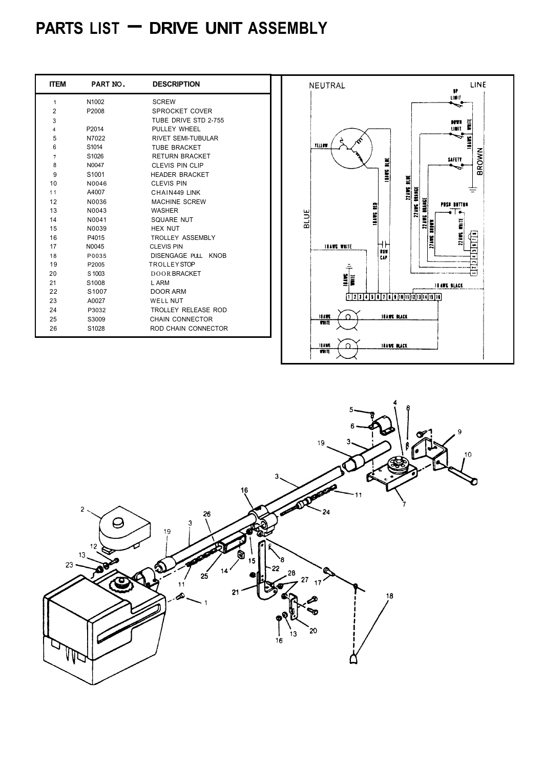# **PARTS LIST - DRIVE UNIT ASSEMBLY**

| <b>ITEM</b>    | PART NO.          | <b>DESCRIPTION</b>        |
|----------------|-------------------|---------------------------|
| 1              | N1002             | <b>SCREW</b>              |
| $\overline{2}$ | P2008             | SPROCKET COVER            |
| 3              |                   | TUBE DRIVE STD 2-755      |
| 4              | P <sub>2014</sub> | PULLEY WHEEL              |
| 5              | N7022             | <b>RIVET SEMI-TUBULAR</b> |
| 6              | S1014             | TURE BRACKET              |
| 7              | S <sub>1026</sub> | <b>RETURN BRACKET</b>     |
| 8              | N0047             | CLEVIS PIN CLIP           |
| 9              | S <sub>1001</sub> | HEADER BRACKET            |
| 10             | N0046             | CI FVIS PIN               |
| 11             | A4007             | CHAIN449 IINK             |
| 12             | N0036             | MACHINE SCREW             |
| 13             | N0043             | <b>WASHER</b>             |
| 14             | N0041             | SQUARE NUT                |
| 15             | N0039             | HFX NUT                   |
| 16             | P4015             | <b>TROLLEY ASSEMBLY</b>   |
| 17             | N <sub>0045</sub> | CI FVIS PIN               |
| 18             | P0035             | DISENGAGE PULL KNOB       |
| 19             | P2005             | <b>TROLLEYSTOP</b>        |
| 20             | S 1003            | DOOR BRACKET              |
| 21             | S1008             | I ARM                     |
| 22             | S <sub>1007</sub> | DOOR ARM                  |
| 23             | A0027             | <b>WELL NUT</b>           |
| 24             | P3032             | TROLLEY RELEASE ROD       |
| 25             | S3009             | CHAIN CONNECTOR           |
| 26             | S1028             | ROD CHAIN CONNECTOR       |



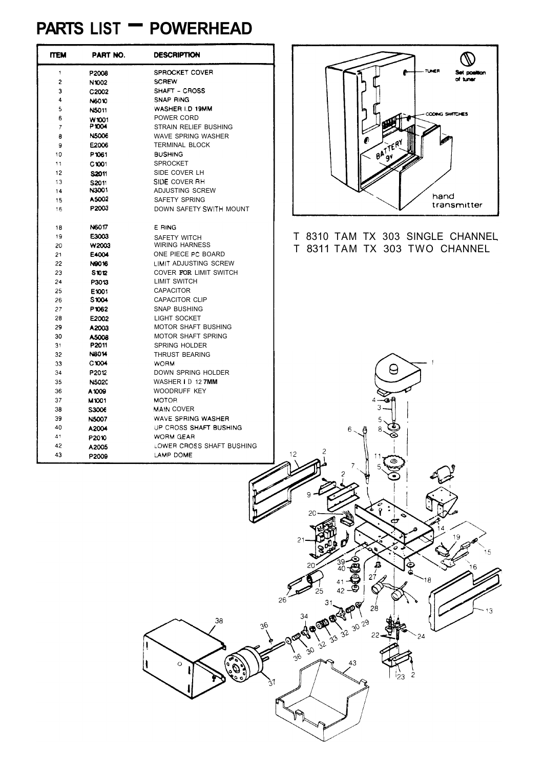# **PARTS LIST - POWERHEAD**

| <b>ITEM</b> | PART NO.              | DESCRIPTION                       |
|-------------|-----------------------|-----------------------------------|
| 1           | P2008                 | SPROCKET COVER                    |
| 2           | N1002                 | <b>SCREW</b>                      |
| 3           | C <sub>2002</sub>     | SHAFT - CROSS                     |
| 4           | N6010                 | <b>SNAP RING</b>                  |
| 5           | N5011                 | WASHER I.D 19MM                   |
| 6           | W1001                 | POWER CORD                        |
| 7           | P1004                 | STRAIN RELIEF BUSHING             |
| 8           | <b>N5006</b>          | <b>WAVE SPRING WASHER</b>         |
| 9           | E2006                 | <b>TERMINAL BLOCK</b>             |
| 10          | P1061                 | <b>BUSHING</b>                    |
| 11          | C1001                 | <b>SPROCKET</b>                   |
| 12          | S2011                 | SIDE COVER LH                     |
| 13          | S2011                 | SIDE COVER RH                     |
| 14          | N3001                 | ADJUSTING SCREW                   |
| 15          | A5002                 | <b>SAFETY SPRING</b>              |
| 16          | P2003                 | DOWN SAFETY SWITH MOUNT           |
| 18          | N6017                 | E RING                            |
| 19          | E3003                 | <b>SAFETY WITCH</b>               |
| 20          | W2003                 | <b>WIRING HARNESS</b>             |
| 21          | E4004                 | ONE PIECE PC BOARD                |
| 22          | N9016                 | LIMIT ADJUSTING SCREW             |
| 23          | <b>S1012</b>          | COVER FOR LIMIT SWITCH            |
| 24          | P3013                 | <b>LIMIT SWITCH</b>               |
| 25          | E1001                 | <b>CAPACITOR</b>                  |
| 26          | S1004                 | <b>CAPACITOR CLIP</b>             |
| 27          | P1062                 | <b>SNAP BUSHING</b>               |
| 28          | E2002                 | LIGHT SOCKET                      |
| 29          | A2003                 | MOTOR SHAFT BUSHING               |
| 30          | A5008                 | <b>MOTOR SHAFT SPRING</b>         |
| 31          | P2011<br><b>NB014</b> | <b>SPRING HOLDER</b>              |
| 32          | C1004                 | <b>THRUST BEARING</b>             |
| 33<br>34    | P2012                 | <b>WORM</b><br>DOWN SPRING HOLDER |
| 35          | N5020                 | WASHER ID 12 7MM                  |
| 36          | A1009                 | WOODRUFF KEY                      |
| 37          |                       | <b>MOTOR</b>                      |
| 38          | M1001<br>S3006        | <b>MAIN COVER</b>                 |
| 39          | <b>N5007</b>          | WAVE SPRING WASHER                |
| 40          | A2004                 | UP CROSS SHAFT BUSHING            |
| 41          |                       | WORM GEAR                         |
| 42          | P2010                 | LOWER CROSS SHAFT BUSHING         |
| 43          | A2005<br>P2009        | LAMP DOME                         |
|             |                       |                                   |



## T 8310 TAM TX 303 SINGLE CHANNEL T 8311 TAM TX 303 TWO CHANNEL

 $\Theta$ 

 $28$ 

 $^{24}$ 

 $29$ 

43

12

 $26$ 

ЗÇ  $\frac{1}{26}$ 

∖⊝

38

ره<br>په کال